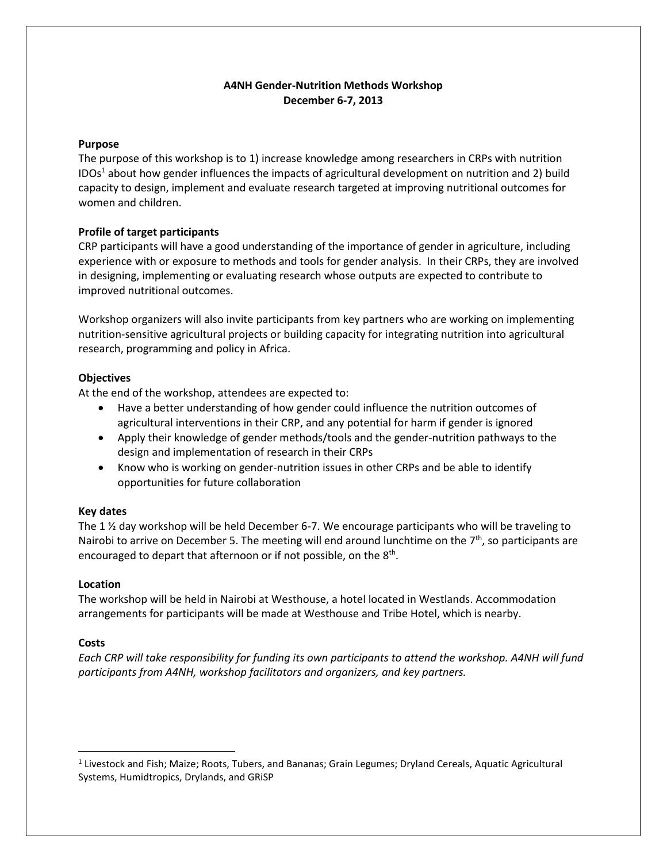## **A4NH Gender-Nutrition Methods Workshop December 6-7, 2013**

### **Purpose**

The purpose of this workshop is to 1) increase knowledge among researchers in CRPs with nutrition IDOs<sup>1</sup> about how gender influences the impacts of agricultural development on nutrition and 2) build capacity to design, implement and evaluate research targeted at improving nutritional outcomes for women and children.

## **Profile of target participants**

CRP participants will have a good understanding of the importance of gender in agriculture, including experience with or exposure to methods and tools for gender analysis. In their CRPs, they are involved in designing, implementing or evaluating research whose outputs are expected to contribute to improved nutritional outcomes.

Workshop organizers will also invite participants from key partners who are working on implementing nutrition-sensitive agricultural projects or building capacity for integrating nutrition into agricultural research, programming and policy in Africa.

#### **Objectives**

At the end of the workshop, attendees are expected to:

- Have a better understanding of how gender could influence the nutrition outcomes of agricultural interventions in their CRP, and any potential for harm if gender is ignored
- Apply their knowledge of gender methods/tools and the gender-nutrition pathways to the design and implementation of research in their CRPs
- Know who is working on gender-nutrition issues in other CRPs and be able to identify opportunities for future collaboration

#### **Key dates**

The 1 ½ day workshop will be held December 6-7. We encourage participants who will be traveling to Nairobi to arrive on December 5. The meeting will end around lunchtime on the  $7<sup>th</sup>$ , so participants are encouraged to depart that afternoon or if not possible, on the 8<sup>th</sup>.

#### **Location**

The workshop will be held in Nairobi at Westhouse, a hotel located in Westlands. Accommodation arrangements for participants will be made at Westhouse and Tribe Hotel, which is nearby.

## **Costs**

l

*Each CRP will take responsibility for funding its own participants to attend the workshop. A4NH will fund participants from A4NH, workshop facilitators and organizers, and key partners.* 

<sup>&</sup>lt;sup>1</sup> Livestock and Fish; Maize; Roots, Tubers, and Bananas; Grain Legumes; Dryland Cereals, Aquatic Agricultural Systems, Humidtropics, Drylands, and GRiSP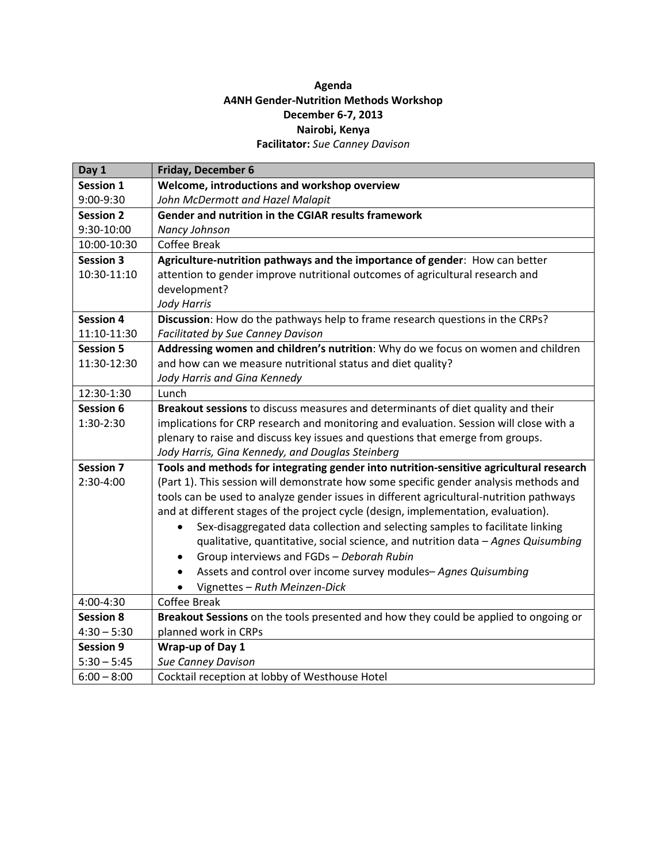## **Agenda A4NH Gender-Nutrition Methods Workshop December 6-7, 2013 Nairobi, Kenya Facilitator:** *Sue Canney Davison*

| Day 1            | Friday, December 6                                                                         |
|------------------|--------------------------------------------------------------------------------------------|
| <b>Session 1</b> | Welcome, introductions and workshop overview                                               |
| 9:00-9:30        | John McDermott and Hazel Malapit                                                           |
| <b>Session 2</b> | Gender and nutrition in the CGIAR results framework                                        |
| 9:30-10:00       | Nancy Johnson                                                                              |
| 10:00-10:30      | Coffee Break                                                                               |
| <b>Session 3</b> | Agriculture-nutrition pathways and the importance of gender: How can better                |
| 10:30-11:10      | attention to gender improve nutritional outcomes of agricultural research and              |
|                  | development?                                                                               |
|                  | <b>Jody Harris</b>                                                                         |
| <b>Session 4</b> | Discussion: How do the pathways help to frame research questions in the CRPs?              |
| 11:10-11:30      | <b>Facilitated by Sue Canney Davison</b>                                                   |
| <b>Session 5</b> | Addressing women and children's nutrition: Why do we focus on women and children           |
| 11:30-12:30      | and how can we measure nutritional status and diet quality?                                |
|                  | Jody Harris and Gina Kennedy                                                               |
| 12:30-1:30       | Lunch                                                                                      |
| Session 6        | Breakout sessions to discuss measures and determinants of diet quality and their           |
| 1:30-2:30        | implications for CRP research and monitoring and evaluation. Session will close with a     |
|                  | plenary to raise and discuss key issues and questions that emerge from groups.             |
|                  | Jody Harris, Gina Kennedy, and Douglas Steinberg                                           |
| <b>Session 7</b> | Tools and methods for integrating gender into nutrition-sensitive agricultural research    |
| 2:30-4:00        | (Part 1). This session will demonstrate how some specific gender analysis methods and      |
|                  | tools can be used to analyze gender issues in different agricultural-nutrition pathways    |
|                  | and at different stages of the project cycle (design, implementation, evaluation).         |
|                  | Sex-disaggregated data collection and selecting samples to facilitate linking<br>$\bullet$ |
|                  | qualitative, quantitative, social science, and nutrition data - Agnes Quisumbing           |
|                  | Group interviews and FGDs - Deborah Rubin<br>$\bullet$                                     |
|                  | Assets and control over income survey modules-Agnes Quisumbing<br>$\bullet$                |
|                  | Vignettes - Ruth Meinzen-Dick                                                              |
| 4:00-4:30        | <b>Coffee Break</b>                                                                        |
| <b>Session 8</b> | Breakout Sessions on the tools presented and how they could be applied to ongoing or       |
| $4:30 - 5:30$    | planned work in CRPs                                                                       |
| <b>Session 9</b> | Wrap-up of Day 1                                                                           |
| $5:30 - 5:45$    | <b>Sue Canney Davison</b>                                                                  |
| $6:00 - 8:00$    | Cocktail reception at lobby of Westhouse Hotel                                             |